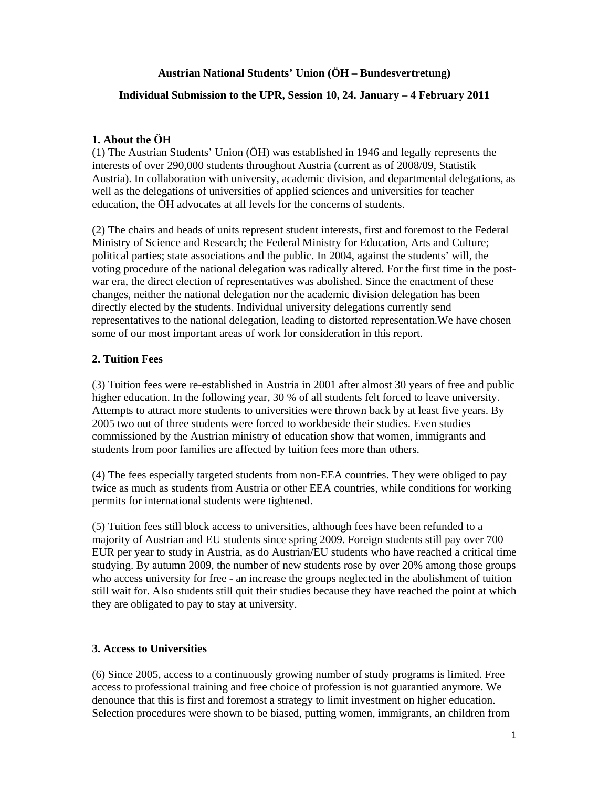## **Austrian National Students' Union (ÖH – Bundesvertretung)**

## **Individual Submission to the UPR, Session 10, 24. January – 4 February 2011**

## **1. About the ÖH**

(1) The Austrian Students' Union (ÖH) was established in 1946 and legally represents the interests of over 290,000 students throughout Austria (current as of 2008/09, Statistik Austria). In collaboration with university, academic division, and departmental delegations, as well as the delegations of universities of applied sciences and universities for teacher education, the ÖH advocates at all levels for the concerns of students.

(2) The chairs and heads of units represent student interests, first and foremost to the Federal Ministry of Science and Research; the Federal Ministry for Education, Arts and Culture; political parties; state associations and the public. In 2004, against the students' will, the voting procedure of the national delegation was radically altered. For the first time in the postwar era, the direct election of representatives was abolished. Since the enactment of these changes, neither the national delegation nor the academic division delegation has been directly elected by the students. Individual university delegations currently send representatives to the national delegation, leading to distorted representation.We have chosen some of our most important areas of work for consideration in this report.

## **2. Tuition Fees**

(3) Tuition fees were re-established in Austria in 2001 after almost 30 years of free and public higher education. In the following year, 30 % of all students felt forced to leave university. Attempts to attract more students to universities were thrown back by at least five years. By 2005 two out of three students were forced to workbeside their studies. Even studies commissioned by the Austrian ministry of education show that women, immigrants and students from poor families are affected by tuition fees more than others.

(4) The fees especially targeted students from non-EEA countries. They were obliged to pay twice as much as students from Austria or other EEA countries, while conditions for working permits for international students were tightened.

(5) Tuition fees still block access to universities, although fees have been refunded to a majority of Austrian and EU students since spring 2009. Foreign students still pay over 700 EUR per year to study in Austria, as do Austrian/EU students who have reached a critical time studying. By autumn 2009, the number of new students rose by over 20% among those groups who access university for free - an increase the groups neglected in the abolishment of tuition still wait for. Also students still quit their studies because they have reached the point at which they are obligated to pay to stay at university.

#### **3. Access to Universities**

(6) Since 2005, access to a continuously growing number of study programs is limited. Free access to professional training and free choice of profession is not guarantied anymore. We denounce that this is first and foremost a strategy to limit investment on higher education. Selection procedures were shown to be biased, putting women, immigrants, an children from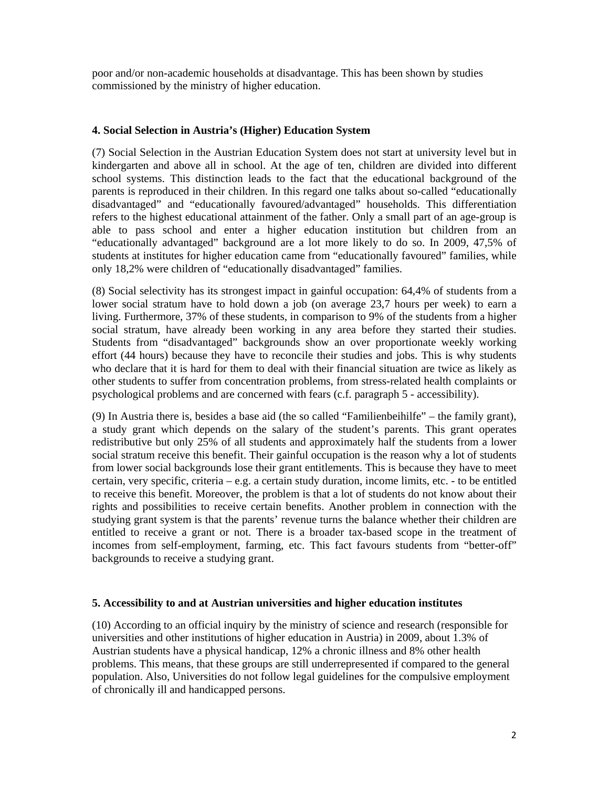poor and/or non-academic households at disadvantage. This has been shown by studies commissioned by the ministry of higher education.

## **4. Social Selection in Austria's (Higher) Education System**

(7) Social Selection in the Austrian Education System does not start at university level but in kindergarten and above all in school. At the age of ten, children are divided into different school systems. This distinction leads to the fact that the educational background of the parents is reproduced in their children. In this regard one talks about so-called "educationally disadvantaged" and "educationally favoured/advantaged" households. This differentiation refers to the highest educational attainment of the father. Only a small part of an age-group is able to pass school and enter a higher education institution but children from an "educationally advantaged" background are a lot more likely to do so. In 2009, 47,5% of students at institutes for higher education came from "educationally favoured" families, while only 18,2% were children of "educationally disadvantaged" families.

(8) Social selectivity has its strongest impact in gainful occupation: 64,4% of students from a lower social stratum have to hold down a job (on average 23,7 hours per week) to earn a living. Furthermore, 37% of these students, in comparison to 9% of the students from a higher social stratum, have already been working in any area before they started their studies. Students from "disadvantaged" backgrounds show an over proportionate weekly working effort (44 hours) because they have to reconcile their studies and jobs. This is why students who declare that it is hard for them to deal with their financial situation are twice as likely as other students to suffer from concentration problems, from stress-related health complaints or psychological problems and are concerned with fears (c.f. paragraph 5 - accessibility).

(9) In Austria there is, besides a base aid (the so called "Familienbeihilfe" – the family grant), a study grant which depends on the salary of the student's parents. This grant operates redistributive but only 25% of all students and approximately half the students from a lower social stratum receive this benefit. Their gainful occupation is the reason why a lot of students from lower social backgrounds lose their grant entitlements. This is because they have to meet certain, very specific, criteria – e.g. a certain study duration, income limits, etc. - to be entitled to receive this benefit. Moreover, the problem is that a lot of students do not know about their rights and possibilities to receive certain benefits. Another problem in connection with the studying grant system is that the parents' revenue turns the balance whether their children are entitled to receive a grant or not. There is a broader tax-based scope in the treatment of incomes from self-employment, farming, etc. This fact favours students from "better-off" backgrounds to receive a studying grant.

#### **5. Accessibility to and at Austrian universities and higher education institutes**

(10) According to an official inquiry by the ministry of science and research (responsible for universities and other institutions of higher education in Austria) in 2009, about 1.3% of Austrian students have a physical handicap, 12% a chronic illness and 8% other health problems. This means, that these groups are still underrepresented if compared to the general population. Also, Universities do not follow legal guidelines for the compulsive employment of chronically ill and handicapped persons.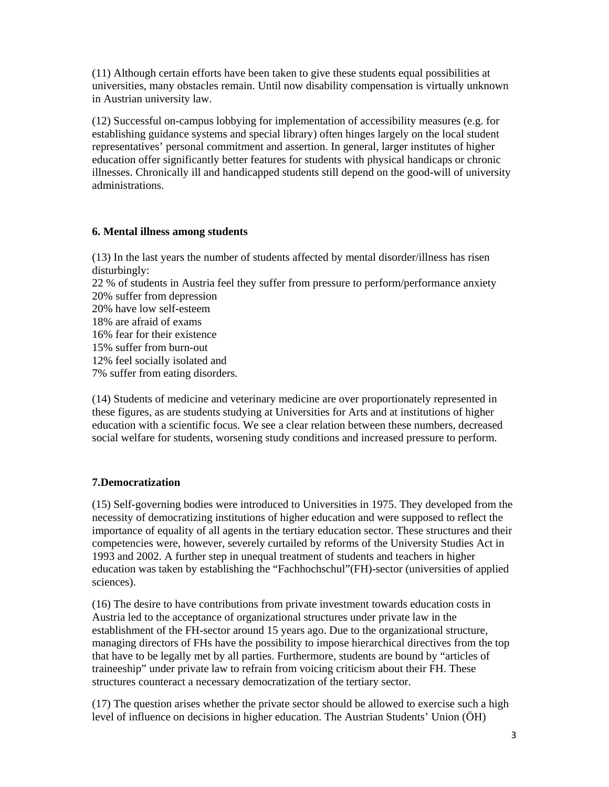(11) Although certain efforts have been taken to give these students equal possibilities at universities, many obstacles remain. Until now disability compensation is virtually unknown in Austrian university law.

(12) Successful on-campus lobbying for implementation of accessibility measures (e.g. for establishing guidance systems and special library) often hinges largely on the local student representatives' personal commitment and assertion. In general, larger institutes of higher education offer significantly better features for students with physical handicaps or chronic illnesses. Chronically ill and handicapped students still depend on the good-will of university administrations.

#### **6. Mental illness among students**

(13) In the last years the number of students affected by mental disorder/illness has risen disturbingly: 22 % of students in Austria feel they suffer from pressure to perform/performance anxiety 20% suffer from depression 20% have low self-esteem 18% are afraid of exams 16% fear for their existence 15% suffer from burn-out 12% feel socially isolated and 7% suffer from eating disorders.

(14) Students of medicine and veterinary medicine are over proportionately represented in these figures, as are students studying at Universities for Arts and at institutions of higher education with a scientific focus. We see a clear relation between these numbers, decreased social welfare for students, worsening study conditions and increased pressure to perform.

# **7.Democratization**

(15) Self-governing bodies were introduced to Universities in 1975. They developed from the necessity of democratizing institutions of higher education and were supposed to reflect the importance of equality of all agents in the tertiary education sector. These structures and their competencies were, however, severely curtailed by reforms of the University Studies Act in 1993 and 2002. A further step in unequal treatment of students and teachers in higher education was taken by establishing the "Fachhochschul"(FH)-sector (universities of applied sciences).

(16) The desire to have contributions from private investment towards education costs in Austria led to the acceptance of organizational structures under private law in the establishment of the FH-sector around 15 years ago. Due to the organizational structure, managing directors of FHs have the possibility to impose hierarchical directives from the top that have to be legally met by all parties. Furthermore, students are bound by "articles of traineeship" under private law to refrain from voicing criticism about their FH. These structures counteract a necessary democratization of the tertiary sector.

(17) The question arises whether the private sector should be allowed to exercise such a high level of influence on decisions in higher education. The Austrian Students' Union (ÖH)